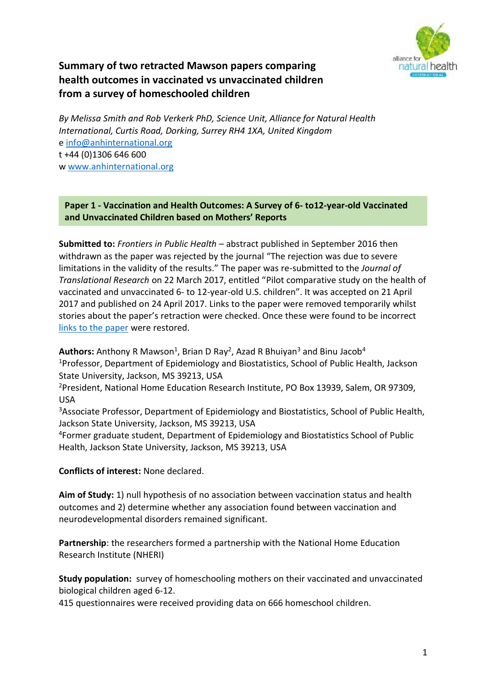

# **Summary of two retracted Mawson papers comparing health outcomes in vaccinated vs unvaccinated children from a survey of homeschooled children**

*By Melissa Smith and Rob Verkerk PhD, Science Unit, Alliance for Natural Health International, Curtis Road, Dorking, Surrey RH4 1XA, United Kingdom* [e info@anhinternational.org](mailto:info@anhinternational.org) t +44 (0)1306 646 600 w [www.anhinternational.org](http://www.anhinternational.org/)

#### **Paper 1 - Vaccination and Health Outcomes: A Survey of 6- to12-year-old Vaccinated and Unvaccinated Children based on Mothers' Reports**

**Submitted to:** *Frontiers in Public Health* – abstract published in September 2016 then withdrawn as the paper was rejected by the journal "The rejection was due to severe limitations in the validity of the results." The paper was re-submitted to the *Journal of Translational Research* on 22 March 2017, entitled "Pilot comparative study on the health of vaccinated and unvaccinated 6- to 12-year-old U.S. children". It was accepted on 21 April 2017 and published on 24 April 2017. Links to the paper were removed temporarily whilst stories about the paper's retraction were checked. Once these were found to be incorrect [links to the paper](http://www.oatext.com/Journal-of-Translational-Science-JTS.php#Early_View) were restored.

**Authors:** Anthony R Mawson<sup>1</sup>, Brian D Ray<sup>2</sup>, Azad R Bhuiyan<sup>3</sup> and Binu Jacob<sup>4</sup> <sup>1</sup>Professor, Department of Epidemiology and Biostatistics, School of Public Health, Jackson State University, Jackson, MS 39213, USA

<sup>2</sup>President, National Home Education Research Institute, PO Box 13939, Salem, OR 97309, USA

<sup>3</sup>Associate Professor, Department of Epidemiology and Biostatistics, School of Public Health, Jackson State University, Jackson, MS 39213, USA

<sup>4</sup>Former graduate student, Department of Epidemiology and Biostatistics School of Public Health, Jackson State University, Jackson, MS 39213, USA

**Conflicts of interest:** None declared.

**Aim of Study:** 1) null hypothesis of no association between vaccination status and health outcomes and 2) determine whether any association found between vaccination and neurodevelopmental disorders remained significant.

**Partnership**: the researchers formed a partnership with the National Home Education Research Institute (NHERI)

**Study population:** survey of homeschooling mothers on their vaccinated and unvaccinated biological children aged 6-12.

415 questionnaires were received providing data on 666 homeschool children.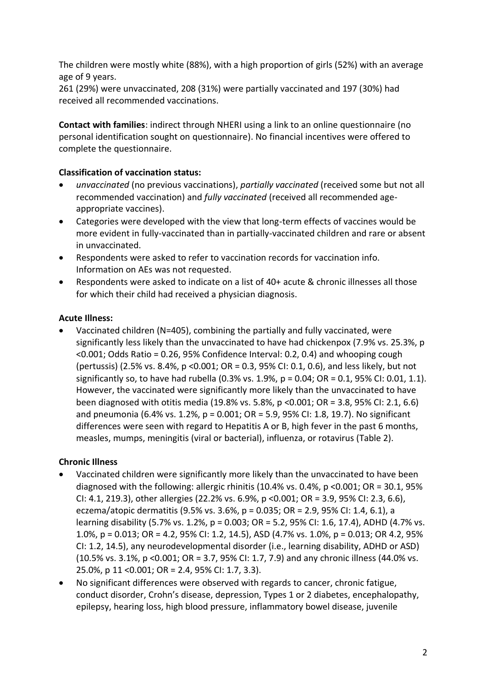The children were mostly white (88%), with a high proportion of girls (52%) with an average age of 9 years.

261 (29%) were unvaccinated, 208 (31%) were partially vaccinated and 197 (30%) had received all recommended vaccinations.

**Contact with families**: indirect through NHERI using a link to an online questionnaire (no personal identification sought on questionnaire). No financial incentives were offered to complete the questionnaire.

## **Classification of vaccination status:**

- *unvaccinated* (no previous vaccinations), *partially vaccinated* (received some but not all recommended vaccination) and *fully vaccinated* (received all recommended ageappropriate vaccines).
- Categories were developed with the view that long-term effects of vaccines would be more evident in fully-vaccinated than in partially-vaccinated children and rare or absent in unvaccinated.
- Respondents were asked to refer to vaccination records for vaccination info. Information on AEs was not requested.
- Respondents were asked to indicate on a list of 40+ acute & chronic illnesses all those for which their child had received a physician diagnosis.

### **Acute Illness:**

• Vaccinated children (N=405), combining the partially and fully vaccinated, were significantly less likely than the unvaccinated to have had chickenpox (7.9% vs. 25.3%, p <0.001; Odds Ratio = 0.26, 95% Confidence Interval: 0.2, 0.4) and whooping cough (pertussis) (2.5% vs. 8.4%, p <0.001; OR = 0.3, 95% CI: 0.1, 0.6), and less likely, but not significantly so, to have had rubella (0.3% vs. 1.9%, p = 0.04; OR = 0.1, 95% CI: 0.01, 1.1). However, the vaccinated were significantly more likely than the unvaccinated to have been diagnosed with otitis media (19.8% vs. 5.8%, p <0.001; OR = 3.8, 95% CI: 2.1, 6.6) and pneumonia (6.4% vs. 1.2%, p = 0.001; OR = 5.9, 95% CI: 1.8, 19.7). No significant differences were seen with regard to Hepatitis A or B, high fever in the past 6 months, measles, mumps, meningitis (viral or bacterial), influenza, or rotavirus (Table 2).

### **Chronic Illness**

- Vaccinated children were significantly more likely than the unvaccinated to have been diagnosed with the following: allergic rhinitis (10.4% vs. 0.4%, p <0.001; OR = 30.1, 95% CI: 4.1, 219.3), other allergies (22.2% vs. 6.9%, p <0.001; OR = 3.9, 95% CI: 2.3, 6.6), eczema/atopic dermatitis (9.5% vs. 3.6%, p = 0.035; OR = 2.9, 95% CI: 1.4, 6.1), a learning disability (5.7% vs. 1.2%, p = 0.003; OR = 5.2, 95% CI: 1.6, 17.4), ADHD (4.7% vs. 1.0%, p = 0.013; OR = 4.2, 95% CI: 1.2, 14.5), ASD (4.7% vs. 1.0%, p = 0.013; OR 4.2, 95% CI: 1.2, 14.5), any neurodevelopmental disorder (i.e., learning disability, ADHD or ASD) (10.5% vs. 3.1%, p <0.001; OR = 3.7, 95% CI: 1.7, 7.9) and any chronic illness (44.0% vs. 25.0%, p 11 <0.001; OR = 2.4, 95% CI: 1.7, 3.3).
- No significant differences were observed with regards to cancer, chronic fatigue, conduct disorder, Crohn's disease, depression, Types 1 or 2 diabetes, encephalopathy, epilepsy, hearing loss, high blood pressure, inflammatory bowel disease, juvenile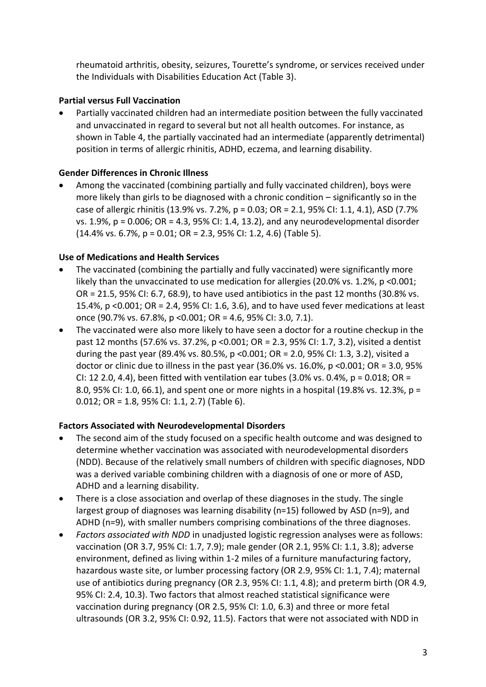rheumatoid arthritis, obesity, seizures, Tourette's syndrome, or services received under the Individuals with Disabilities Education Act (Table 3).

### **Partial versus Full Vaccination**

• Partially vaccinated children had an intermediate position between the fully vaccinated and unvaccinated in regard to several but not all health outcomes. For instance, as shown in Table 4, the partially vaccinated had an intermediate (apparently detrimental) position in terms of allergic rhinitis, ADHD, eczema, and learning disability.

### **Gender Differences in Chronic Illness**

• Among the vaccinated (combining partially and fully vaccinated children), boys were more likely than girls to be diagnosed with a chronic condition – significantly so in the case of allergic rhinitis (13.9% vs. 7.2%, p = 0.03; OR = 2.1, 95% CI: 1.1, 4.1), ASD (7.7% vs. 1.9%, p = 0.006; OR = 4.3, 95% CI: 1.4, 13.2), and any neurodevelopmental disorder (14.4% vs. 6.7%, p = 0.01; OR = 2.3, 95% CI: 1.2, 4.6) (Table 5).

### **Use of Medications and Health Services**

- The vaccinated (combining the partially and fully vaccinated) were significantly more likely than the unvaccinated to use medication for allergies (20.0% vs. 1.2%, p < 0.001; OR = 21.5, 95% CI: 6.7, 68.9), to have used antibiotics in the past 12 months (30.8% vs. 15.4%, p <0.001; OR = 2.4, 95% CI: 1.6, 3.6), and to have used fever medications at least once (90.7% vs. 67.8%, p <0.001; OR = 4.6, 95% CI: 3.0, 7.1).
- The vaccinated were also more likely to have seen a doctor for a routine checkup in the past 12 months (57.6% vs. 37.2%, p <0.001; OR = 2.3, 95% CI: 1.7, 3.2), visited a dentist during the past year (89.4% vs. 80.5%, p <0.001; OR = 2.0, 95% CI: 1.3, 3.2), visited a doctor or clinic due to illness in the past year (36.0% vs. 16.0%, p <0.001; OR = 3.0, 95% CI: 12 2.0, 4.4), been fitted with ventilation ear tubes (3.0% vs. 0.4%,  $p = 0.018$ ; OR = 8.0, 95% CI: 1.0, 66.1), and spent one or more nights in a hospital (19.8% vs. 12.3%, p = 0.012; OR = 1.8, 95% CI: 1.1, 2.7) (Table 6).

### **Factors Associated with Neurodevelopmental Disorders**

- The second aim of the study focused on a specific health outcome and was designed to determine whether vaccination was associated with neurodevelopmental disorders (NDD). Because of the relatively small numbers of children with specific diagnoses, NDD was a derived variable combining children with a diagnosis of one or more of ASD, ADHD and a learning disability.
- There is a close association and overlap of these diagnoses in the study. The single largest group of diagnoses was learning disability (n=15) followed by ASD (n=9), and ADHD (n=9), with smaller numbers comprising combinations of the three diagnoses.
- *Factors associated with NDD* in unadjusted logistic regression analyses were as follows: vaccination (OR 3.7, 95% CI: 1.7, 7.9); male gender (OR 2.1, 95% CI: 1.1, 3.8); adverse environment, defined as living within 1-2 miles of a furniture manufacturing factory, hazardous waste site, or lumber processing factory (OR 2.9, 95% CI: 1.1, 7.4); maternal use of antibiotics during pregnancy (OR 2.3, 95% CI: 1.1, 4.8); and preterm birth (OR 4.9, 95% CI: 2.4, 10.3). Two factors that almost reached statistical significance were vaccination during pregnancy (OR 2.5, 95% CI: 1.0, 6.3) and three or more fetal ultrasounds (OR 3.2, 95% CI: 0.92, 11.5). Factors that were not associated with NDD in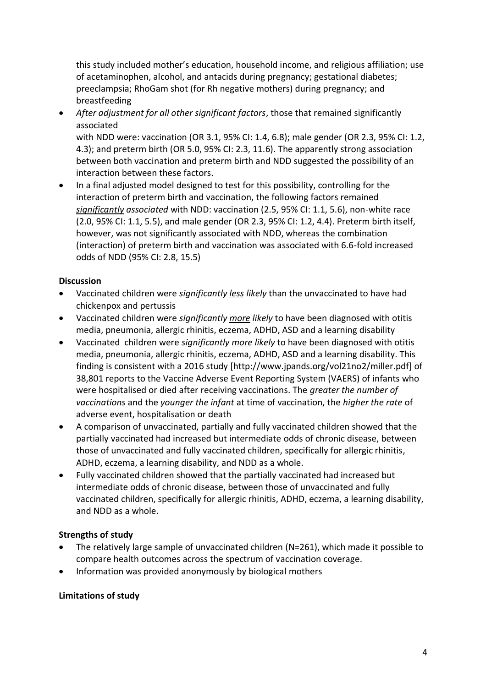this study included mother's education, household income, and religious affiliation; use of acetaminophen, alcohol, and antacids during pregnancy; gestational diabetes; preeclampsia; RhoGam shot (for Rh negative mothers) during pregnancy; and breastfeeding

• *After adjustment for all other significant factors*, those that remained significantly associated

with NDD were: vaccination (OR 3.1, 95% CI: 1.4, 6.8); male gender (OR 2.3, 95% CI: 1.2, 4.3); and preterm birth (OR 5.0, 95% CI: 2.3, 11.6). The apparently strong association between both vaccination and preterm birth and NDD suggested the possibility of an interaction between these factors.

• In a final adjusted model designed to test for this possibility, controlling for the interaction of preterm birth and vaccination, the following factors remained *significantly associated* with NDD: vaccination (2.5, 95% CI: 1.1, 5.6), non-white race (2.0, 95% CI: 1.1, 5.5), and male gender (OR 2.3, 95% CI: 1.2, 4.4). Preterm birth itself, however, was not significantly associated with NDD, whereas the combination (interaction) of preterm birth and vaccination was associated with 6.6-fold increased odds of NDD (95% CI: 2.8, 15.5)

## **Discussion**

- Vaccinated children were *significantly less likely* than the unvaccinated to have had chickenpox and pertussis
- Vaccinated children were *significantly more likely* to have been diagnosed with otitis media, pneumonia, allergic rhinitis, eczema, ADHD, ASD and a learning disability
- Vaccinated children were *significantly more likely* to have been diagnosed with otitis media, pneumonia, allergic rhinitis, eczema, ADHD, ASD and a learning disability. This finding is consistent with a 2016 study [http://www.jpands.org/vol21no2/miller.pdf] of 38,801 reports to the Vaccine Adverse Event Reporting System (VAERS) of infants who were hospitalised or died after receiving vaccinations. The *greater the number of vaccinations* and the *younger the infant* at time of vaccination, the *higher the rate* of adverse event, hospitalisation or death
- A comparison of unvaccinated, partially and fully vaccinated children showed that the partially vaccinated had increased but intermediate odds of chronic disease, between those of unvaccinated and fully vaccinated children, specifically for allergic rhinitis, ADHD, eczema, a learning disability, and NDD as a whole.
- Fully vaccinated children showed that the partially vaccinated had increased but intermediate odds of chronic disease, between those of unvaccinated and fully vaccinated children, specifically for allergic rhinitis, ADHD, eczema, a learning disability, and NDD as a whole.

## **Strengths of study**

- The relatively large sample of unvaccinated children (N=261), which made it possible to compare health outcomes across the spectrum of vaccination coverage.
- Information was provided anonymously by biological mothers

## **Limitations of study**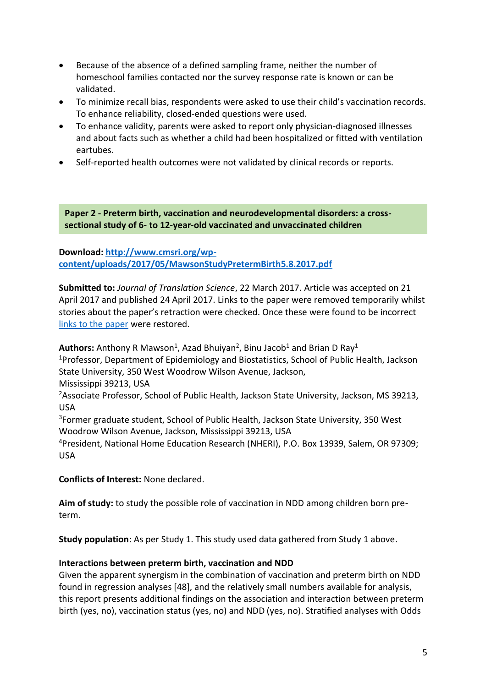- Because of the absence of a defined sampling frame, neither the number of homeschool families contacted nor the survey response rate is known or can be validated.
- To minimize recall bias, respondents were asked to use their child's vaccination records. To enhance reliability, closed-ended questions were used.
- To enhance validity, parents were asked to report only physician-diagnosed illnesses and about facts such as whether a child had been hospitalized or fitted with ventilation eartubes.
- Self-reported health outcomes were not validated by clinical records or reports.

**Paper 2 - Preterm birth, vaccination and neurodevelopmental disorders: a crosssectional study of 6- to 12-year-old vaccinated and unvaccinated children** 

**Download: [http://www.cmsri.org/wp](http://www.cmsri.org/wp-content/uploads/2017/05/MawsonStudyPretermBirth5.8.2017.pdf)[content/uploads/2017/05/MawsonStudyPretermBirth5.8.2017.pdf](http://www.cmsri.org/wp-content/uploads/2017/05/MawsonStudyPretermBirth5.8.2017.pdf)**

**Submitted to:** *Journal of Translation Science*, 22 March 2017. Article was accepted on 21 April 2017 and published 24 April 2017. Links to the paper were removed temporarily whilst stories about the paper's retraction were checked. Once these were found to be incorrect [links to the paper](http://www.oatext.com/Journal-of-Translational-Science-JTS.php#Early_View) were restored.

Authors: Anthony R Mawson<sup>1</sup>, Azad Bhuiyan<sup>2</sup>, Binu Jacob<sup>1</sup> and Brian D Ray<sup>1</sup> <sup>1</sup>Professor, Department of Epidemiology and Biostatistics, School of Public Health, Jackson State University, 350 West Woodrow Wilson Avenue, Jackson, Mississippi 39213, USA

<sup>2</sup>Associate Professor, School of Public Health, Jackson State University, Jackson, MS 39213, USA

<sup>3</sup>Former graduate student, School of Public Health, Jackson State University, 350 West Woodrow Wilson Avenue, Jackson, Mississippi 39213, USA

<sup>4</sup>President, National Home Education Research (NHERI), P.O. Box 13939, Salem, OR 97309; USA

**Conflicts of Interest:** None declared.

**Aim of study:** to study the possible role of vaccination in NDD among children born preterm.

**Study population**: As per Study 1. This study used data gathered from Study 1 above.

#### **Interactions between preterm birth, vaccination and NDD**

Given the apparent synergism in the combination of vaccination and preterm birth on NDD found in regression analyses [48], and the relatively small numbers available for analysis, this report presents additional findings on the association and interaction between preterm birth (yes, no), vaccination status (yes, no) and NDD (yes, no). Stratified analyses with Odds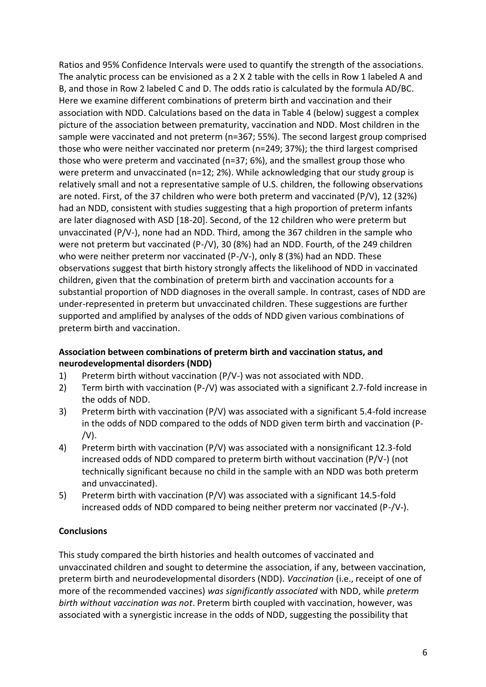Ratios and 95% Confidence Intervals were used to quantify the strength of the associations. The analytic process can be envisioned as a 2 X 2 table with the cells in Row 1 labeled A and B, and those in Row 2 labeled C and D. The odds ratio is calculated by the formula AD/BC. Here we examine different combinations of preterm birth and vaccination and their association with NDD. Calculations based on the data in Table 4 (below) suggest a complex picture of the association between prematurity, vaccination and NDD. Most children in the sample were vaccinated and not preterm (n=367; 55%). The second largest group comprised those who were neither vaccinated nor preterm (n=249; 37%); the third largest comprised those who were preterm and vaccinated (n=37; 6%), and the smallest group those who were preterm and unvaccinated (n=12; 2%). While acknowledging that our study group is relatively small and not a representative sample of U.S. children, the following observations are noted. First, of the 37 children who were both preterm and vaccinated (P/V), 12 (32%) had an NDD, consistent with studies suggesting that a high proportion of preterm infants are later diagnosed with ASD [18-20]. Second, of the 12 children who were preterm but unvaccinated (P/V-), none had an NDD. Third, among the 367 children in the sample who were not preterm but vaccinated (P-/V), 30 (8%) had an NDD. Fourth, of the 249 children who were neither preterm nor vaccinated (P-/V-), only 8 (3%) had an NDD. These observations suggest that birth history strongly affects the likelihood of NDD in vaccinated children, given that the combination of preterm birth and vaccination accounts for a substantial proportion of NDD diagnoses in the overall sample. In contrast, cases of NDD are under-represented in preterm but unvaccinated children. These suggestions are further supported and amplified by analyses of the odds of NDD given various combinations of preterm birth and vaccination.

### **Association between combinations of preterm birth and vaccination status, and neurodevelopmental disorders (NDD)**

- 1) Preterm birth without vaccination (P/V-) was not associated with NDD.
- 2) Term birth with vaccination (P-/V) was associated with a significant 2.7-fold increase in the odds of NDD.
- 3) Preterm birth with vaccination (P/V) was associated with a significant 5.4-fold increase in the odds of NDD compared to the odds of NDD given term birth and vaccination (P-  $/V$ ).
- 4) Preterm birth with vaccination (P/V) was associated with a nonsignificant 12.3-fold increased odds of NDD compared to preterm birth without vaccination (P/V-) (not technically significant because no child in the sample with an NDD was both preterm and unvaccinated).
- 5) Preterm birth with vaccination (P/V) was associated with a significant 14.5-fold increased odds of NDD compared to being neither preterm nor vaccinated (P-/V-).

## **Conclusions**

This study compared the birth histories and health outcomes of vaccinated and unvaccinated children and sought to determine the association, if any, between vaccination, preterm birth and neurodevelopmental disorders (NDD). *Vaccination* (i.e., receipt of one of more of the recommended vaccines) *was significantly associated* with NDD, while *preterm birth without vaccination was not*. Preterm birth coupled with vaccination, however, was associated with a synergistic increase in the odds of NDD, suggesting the possibility that